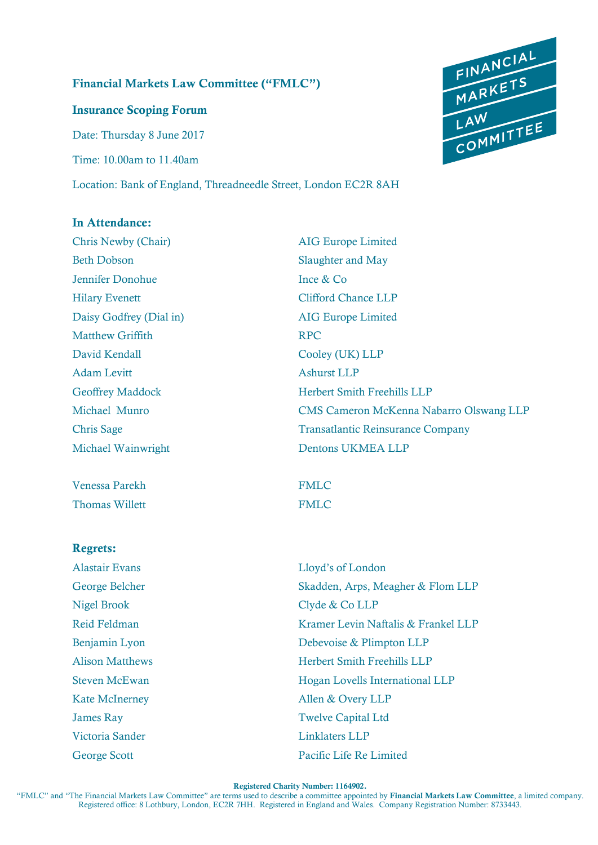### **Financial Markets Law Committee ("FMLC")**

**Insurance Scoping Forum**  Date: Thursday 8 June 2017 Time: 10.00am to 11.40am

Location: Bank of England, Threadneedle Street, London EC2R 8AH

#### **In Attendance:**

Chris Newby (Chair) AIG Europe Limited Beth Dobson Slaughter and May Jennifer Donohue Ince & Co Hilary Evenett Clifford Chance LLP Daisy Godfrey (Dial in) AIG Europe Limited Matthew Griffith RPC David Kendall Cooley (UK) LLP Adam Levitt Ashurst LLP Michael Wainwright Dentons UKMEA LLP

Venessa Parekh FMLC Thomas Willett **FMLC** 

#### **Regrets:**

Nigel Brook Clyde & Co LLP Victoria Sander Linklaters LLP

Geoffrey Maddock Herbert Smith Freehills LLP Michael Munro CMS Cameron McKenna Nabarro Olswang LLP Chris Sage Transatlantic Reinsurance Company

Alastair Evans Lloyd's of London George Belcher Skadden, Arps, Meagher & Flom LLP Reid Feldman Kramer Levin Naftalis & Frankel LLP Benjamin Lyon Debevoise & Plimpton LLP Alison Matthews Herbert Smith Freehills LLP Steven McEwan **Hogan Lovells International LLP** Kate McInerney **Allen & Overy LLP** James Ray Twelve Capital Ltd George Scott Pacific Life Re Limited

**Registered Charity Number: 1164902.** 

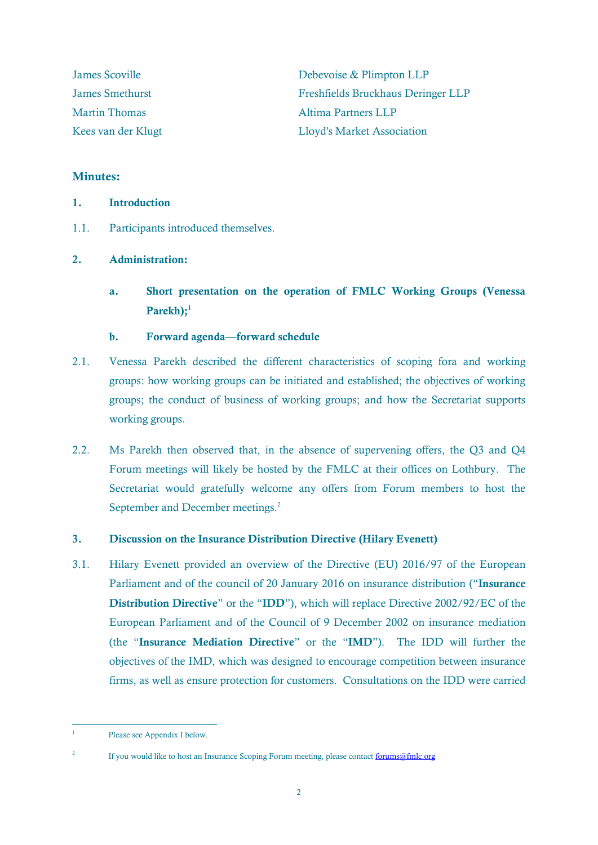| <b>James Scoville</b><br><b>James Smethurst</b> | Debevoise & Plimpton LLP<br>Freshfields Bruckhaus Deringer LLP |
|-------------------------------------------------|----------------------------------------------------------------|
|                                                 |                                                                |
| Kees van der Klugt                              | <b>Lloyd's Market Association</b>                              |

#### **Minutes:**

1.1. Participants introduced themselves.

#### **2. Administration:**

**a. Short presentation on the operation of FMLC Working Groups (Venessa Parekh);<sup>1</sup>**

#### **b. Forward agenda—forward schedule**

- 2.1. Venessa Parekh described the different characteristics of scoping fora and working groups: how working groups can be initiated and established; the objectives of working groups; the conduct of business of working groups; and how the Secretariat supports working groups.
- 2.2. Ms Parekh then observed that, in the absence of supervening offers, the Q3 and Q4 Forum meetings will likely be hosted by the FMLC at their offices on Lothbury. The Secretariat would gratefully welcome any offers from Forum members to host the September and December meetings.<sup>2</sup>

#### **3. Discussion on the Insurance Distribution Directive (Hilary Evenett)**

3.1. Hilary Evenett provided an overview of the Directive (EU) 2016/97 of the European Parliament and of the council of 20 January 2016 on insurance distribution ("**Insurance Distribution Directive**" or the "**IDD**"), which will replace Directive 2002/92/EC of the European Parliament and of the Council of 9 December 2002 on insurance mediation (the "**Insurance Mediation Directive**" or the "**IMD**"). The IDD will further the objectives of the IMD, which was designed to encourage competition between insurance firms, as well as ensure protection for customers. Consultations on the IDD were carried

 $\frac{1}{1}$ Please see Appendix I below.

<sup>2</sup> If you would like to host an Insurance Scoping Forum meeting, please contact [forums@fmlc.org](mailto:forums@fmlc.org)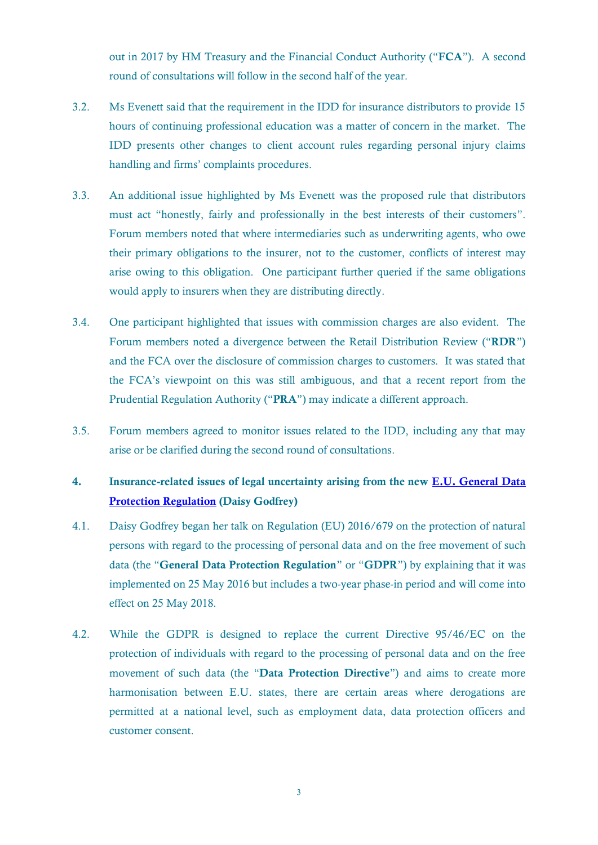out in 2017 by HM Treasury and the Financial Conduct Authority ("**FCA**"). A second round of consultations will follow in the second half of the year.

- 3.2. Ms Evenett said that the requirement in the IDD for insurance distributors to provide 15 hours of continuing professional education was a matter of concern in the market. The IDD presents other changes to client account rules regarding personal injury claims handling and firms' complaints procedures.
- 3.3. An additional issue highlighted by Ms Evenett was the proposed rule that distributors must act "honestly, fairly and professionally in the best interests of their customers". Forum members noted that where intermediaries such as underwriting agents, who owe their primary obligations to the insurer, not to the customer, conflicts of interest may arise owing to this obligation. One participant further queried if the same obligations would apply to insurers when they are distributing directly.
- 3.4. One participant highlighted that issues with commission charges are also evident. The Forum members noted a divergence between the Retail Distribution Review ("**RDR**") and the FCA over the disclosure of commission charges to customers. It was stated that the FCA's viewpoint on this was still ambiguous, and that a recent report from the Prudential Regulation Authority ("**PRA**") may indicate a different approach.
- 3.5. Forum members agreed to monitor issues related to the IDD, including any that may arise or be clarified during the second round of consultations.

#### **4. Insurance-related issues of legal uncertainty arising from the new [E.U. General Data](http://www.eugdpr.org/eugdpr.org.html)  [Protection Regulation](http://www.eugdpr.org/eugdpr.org.html) (Daisy Godfrey)**

- 4.1. Daisy Godfrey began her talk on Regulation (EU) 2016/679 on the protection of natural persons with regard to the processing of personal data and on the free movement of such data (the "**General Data Protection Regulation**" or "**GDPR**") by explaining that it was implemented on 25 May 2016 but includes a two-year phase-in period and will come into effect on 25 May 2018.
- 4.2. While the GDPR is designed to replace the current Directive 95/46/EC on the protection of individuals with regard to the processing of personal data and on the free movement of such data (the "**Data Protection Directive**") and aims to create more harmonisation between E.U. states, there are certain areas where derogations are permitted at a national level, such as employment data, data protection officers and customer consent.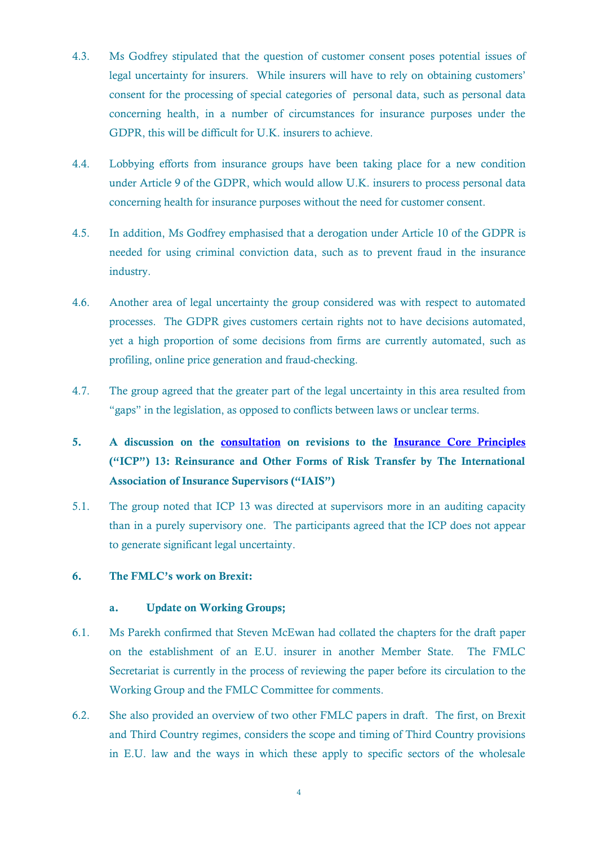- 4.3. Ms Godfrey stipulated that the question of customer consent poses potential issues of legal uncertainty for insurers. While insurers will have to rely on obtaining customers' consent for the processing of special categories of personal data, such as personal data concerning health, in a number of circumstances for insurance purposes under the GDPR, this will be difficult for U.K. insurers to achieve.
- 4.4. Lobbying efforts from insurance groups have been taking place for a new condition under Article 9 of the GDPR, which would allow U.K. insurers to process personal data concerning health for insurance purposes without the need for customer consent.
- 4.5. In addition, Ms Godfrey emphasised that a derogation under Article 10 of the GDPR is needed for using criminal conviction data, such as to prevent fraud in the insurance industry.
- 4.6. Another area of legal uncertainty the group considered was with respect to automated processes. The GDPR gives customers certain rights not to have decisions automated, yet a high proportion of some decisions from firms are currently automated, such as profiling, online price generation and fraud-checking.
- 4.7. The group agreed that the greater part of the legal uncertainty in this area resulted from "gaps" in the legislation, as opposed to conflicts between laws or unclear terms.
- **5. A discussion on the [consultation](https://www.iaisweb.org/page/consultations/current-consultations/revised-insurance-core-principles-13/file/66507/revised-insurance-core-principles-13-reinsurance-and-other-forms-of-risk-transfer) on revisions to the [Insurance Core Principles](http://www.naic.org/cipr_topics/topic_insurance_core_principles.htm) ("ICP") 13: Reinsurance and Other Forms of Risk Transfer by The International Association of Insurance Supervisors ("IAIS")**
- 5.1. The group noted that ICP 13 was directed at supervisors more in an auditing capacity than in a purely supervisory one. The participants agreed that the ICP does not appear to generate significant legal uncertainty.

#### **6. The FMLC's work on Brexit:**

#### **a. Update on Working Groups;**

- 6.1. Ms Parekh confirmed that Steven McEwan had collated the chapters for the draft paper on the establishment of an E.U. insurer in another Member State. The FMLC Secretariat is currently in the process of reviewing the paper before its circulation to the Working Group and the FMLC Committee for comments.
- 6.2. She also provided an overview of two other FMLC papers in draft. The first, on Brexit and Third Country regimes, considers the scope and timing of Third Country provisions in E.U. law and the ways in which these apply to specific sectors of the wholesale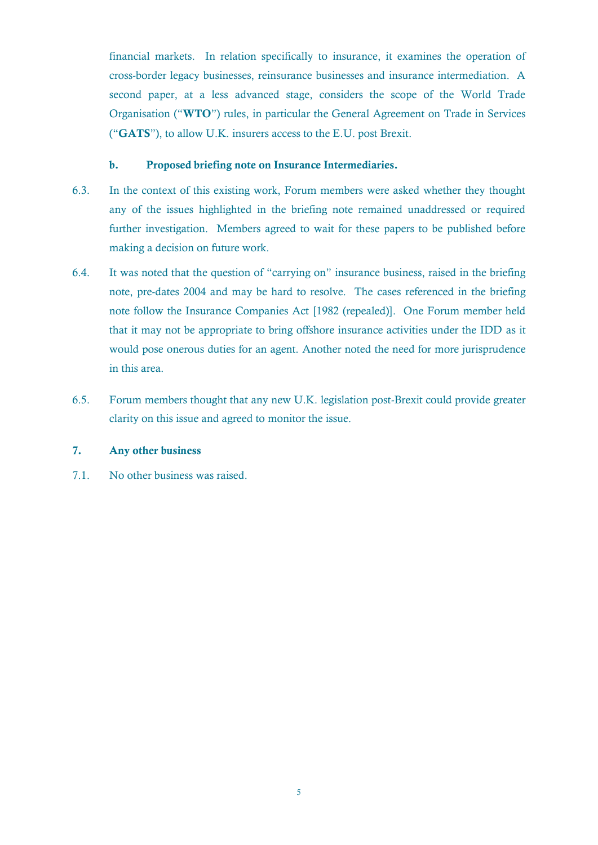financial markets. In relation specifically to insurance, it examines the operation of cross-border legacy businesses, reinsurance businesses and insurance intermediation. A second paper, at a less advanced stage, considers the scope of the World Trade Organisation ("**WTO**") rules, in particular the General Agreement on Trade in Services ("**GATS**"), to allow U.K. insurers access to the E.U. post Brexit.

#### **b. Proposed briefing note on Insurance Intermediaries.**

- 6.3. In the context of this existing work, Forum members were asked whether they thought any of the issues highlighted in the briefing note remained unaddressed or required further investigation. Members agreed to wait for these papers to be published before making a decision on future work.
- 6.4. It was noted that the question of "carrying on" insurance business, raised in the briefing note, pre-dates 2004 and may be hard to resolve. The cases referenced in the briefing note follow the Insurance Companies Act [1982 (repealed)]. One Forum member held that it may not be appropriate to bring offshore insurance activities under the IDD as it would pose onerous duties for an agent. Another noted the need for more jurisprudence in this area.
- 6.5. Forum members thought that any new U.K. legislation post-Brexit could provide greater clarity on this issue and agreed to monitor the issue.

#### **7. Any other business**

7.1. No other business was raised.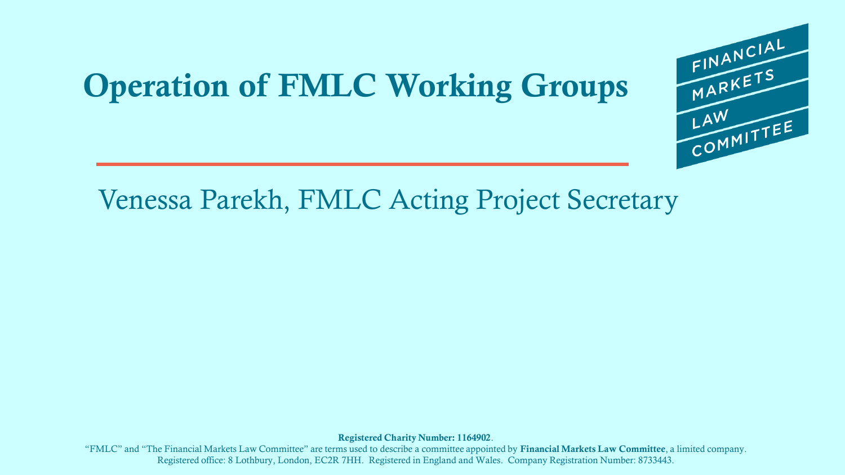### **Operation of FMLC Working Groups**



FINANCIAL<br>MARKETS

LAW<br>COMMITTEE

LAW

**Registered Charity Number: 1164902**.

"FMLC" and "The Financial Markets Law Committee" are terms used to describe a committee appointed by **Financial Markets Law Committee**, a limited company. Registered office: 8 Lothbury, London, EC2R 7HH. Registered in England and Wales. Company Registration Number: 8733443.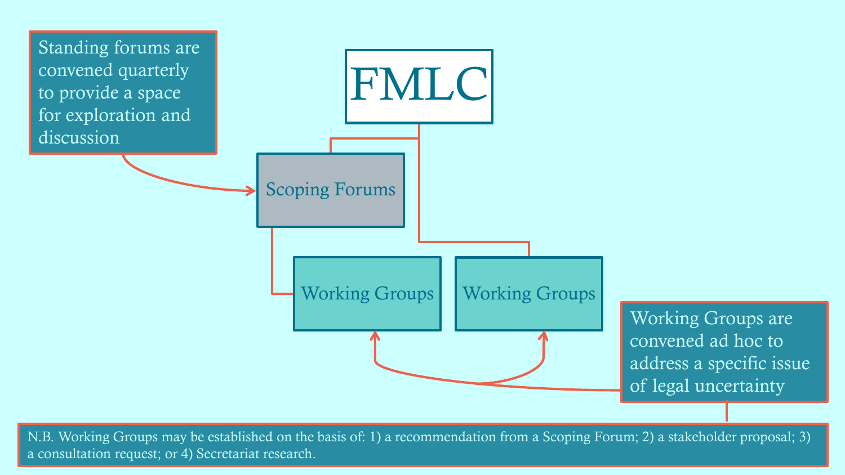

N.B. Working Groups may be established on the basis of: 1) a recommendation from a Scoping Forum; 2) a stakeholder proposal; 3) a consultation request; or 4) Secretariat research.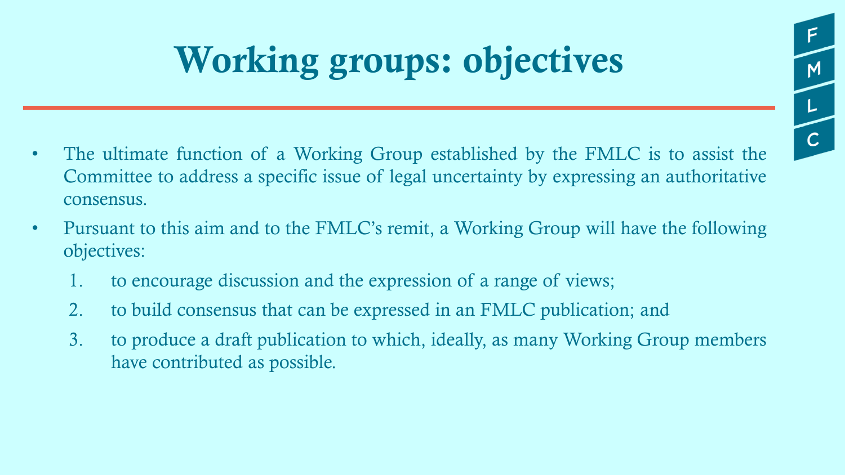# **Working groups: objectives**

M

 $\overline{C}$ 

- The ultimate function of a Working Group established by the FMLC is to assist the Committee to address a specific issue of legal uncertainty by expressing an authoritative consensus.
- Pursuant to this aim and to the FMLC's remit, a Working Group will have the following objectives:
	- 1. to encourage discussion and the expression of a range of views;
	- 2. to build consensus that can be expressed in an FMLC publication; and
	- 3. to produce a draft publication to which, ideally, as many Working Group members have contributed as possible.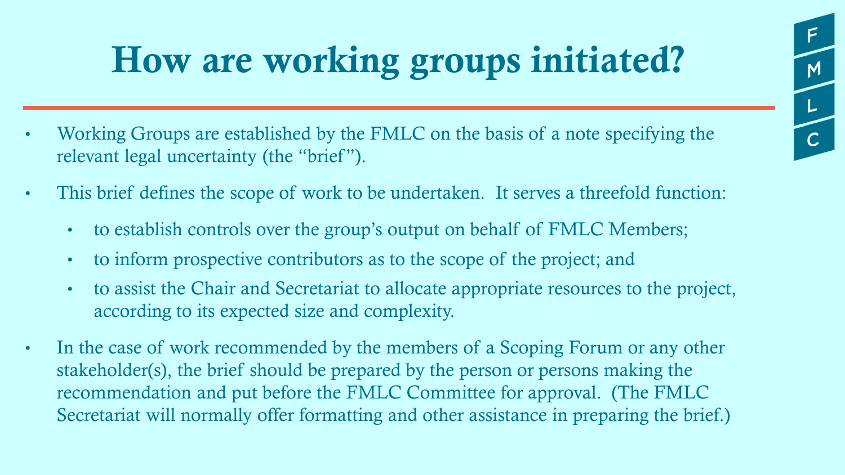## **How are working groups initiated?**

M

 $\mathsf{L}$ 

- Working Groups are established by the FMLC on the basis of a note specifying the relevant legal uncertainty (the "brief").
- This brief defines the scope of work to be undertaken. It serves a threefold function:
	- to establish controls over the group's output on behalf of FMLC Members;
	- to inform prospective contributors as to the scope of the project; and
	- to assist the Chair and Secretariat to allocate appropriate resources to the project, according to its expected size and complexity.
- In the case of work recommended by the members of a Scoping Forum or any other stakeholder(s), the brief should be prepared by the person or persons making the recommendation and put before the FMLC Committee for approval. (The FMLC Secretariat will normally offer formatting and other assistance in preparing the brief.)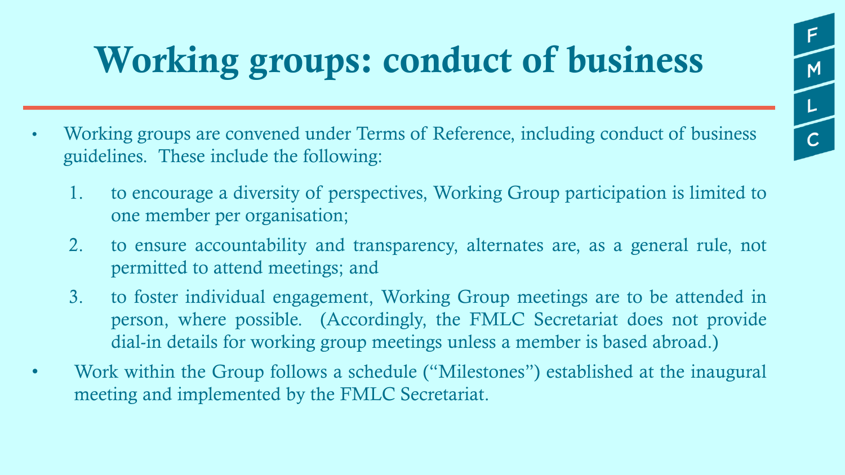## **Working groups: conduct of business**

 $M$ 

 $\mathsf{L}$ 

- Working groups are convened under Terms of Reference, including conduct of business guidelines. These include the following:
	- 1. to encourage a diversity of perspectives, Working Group participation is limited to one member per organisation;
	- 2. to ensure accountability and transparency, alternates are, as a general rule, not permitted to attend meetings; and
	- 3. to foster individual engagement, Working Group meetings are to be attended in person, where possible. (Accordingly, the FMLC Secretariat does not provide dial-in details for working group meetings unless a member is based abroad.)
- Work within the Group follows a schedule ("Milestones") established at the inaugural meeting and implemented by the FMLC Secretariat.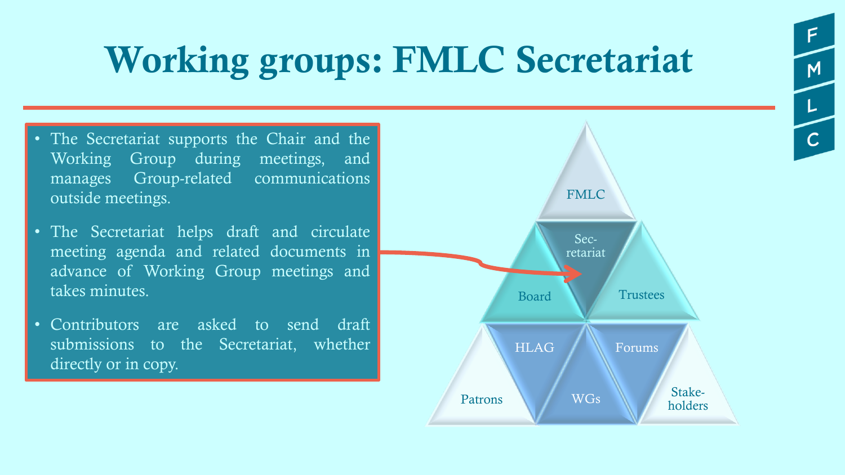## **Working groups: FMLC Secretariat**

- The Secretariat supports the Chair and the Working Group during meetings, and manages Group-related communications outside meetings.
- The Secretariat helps draft and circulate meeting agenda and related documents in advance of Working Group meetings and takes minutes.
- Contributors are asked to send draft submissions to the Secretariat, whether directly or in copy.



 $M$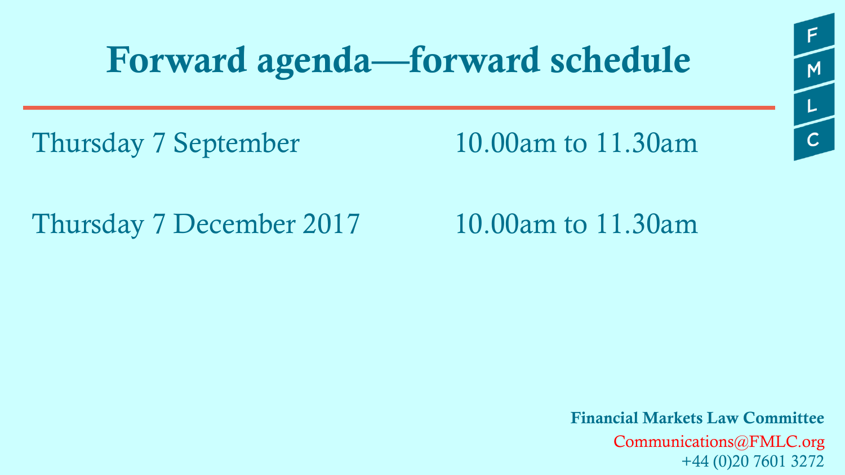### **Forward agenda—forward schedule**

Thursday 7 September 10.00am to 11.30am

Thursday 7 December 2017 10.00am to 11.30am

**Financial Markets Law Committee** Communications@FMLC.org +44 (0)20 7601 3272

 $M$ 

 $\overline{L}$ 

 $\overline{C}$